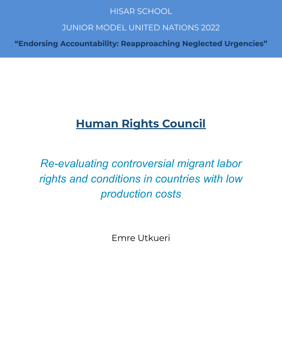# **HISAR SCHOOL**

# **JUNIOR MODEL UNITED NATIONS 2022**

"Endorsing Accountability: Reapproaching Neglected Urgencies"

# **Human Rights Council**

# *Re-evaluating controversial migrant labor rights and conditions in countries with low production costs*

Emre Utkueri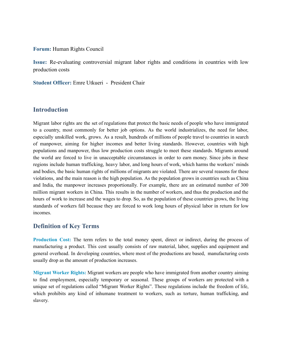#### **Forum:** Human Rights Council

**Issue:** Re-evaluating controversial migrant labor rights and conditions in countries with low production costs

**Student Officer:** Emre Utkueri - President Chair

#### **Introduction**

Migrant labor rights are the set of regulations that protect the basic needs of people who have immigrated to a country, most commonly for better job options. As the world industrializes, the need for labor, especially unskilled work, grows. As a result, hundreds of millions of people travel to countries in search of manpower, aiming for higher incomes and better living standards. However, countries with high populations and manpower, thus low production costs struggle to meet these standards. Migrants around the world are forced to live in unacceptable circumstances in order to earn money. Since jobs in these regions include human trafficking, heavy labor, and long hours of work, which harms the workers' minds and bodies, the basic human rights of millions of migrants are violated. There are several reasons for these violations, and the main reason is the high population. As the population grows in countries such as China and India, the manpower increases proportionally. For example, there are an estimated number of 300 million migrant workers in China. This results in the number of workers, and thus the production and the hours of work to increase and the wages to drop. So, as the population of these countries grows, the living standards of workers fall because they are forced to work long hours of physical labor in return for low incomes.

### **Definition of Key Terms**

**Production Cost:** The term refers to the total money spent, direct or indirect, during the process of manufacturing a product. This cost usually consists of raw material, labor, supplies and equipment and general overhead. In developing countries, where most of the productions are based, manufacturing costs usually drop as the amount of production increases.

**Migrant Worker Rights:** Migrant workers are people who have immigrated from another country aiming to find employment, especially temporary or seasonal. These groups of workers are protected with a unique set of regulations called "Migrant Worker Rights". These regulations include the freedom of life, which prohibits any kind of inhumane treatment to workers, such as torture, human trafficking, and slavery.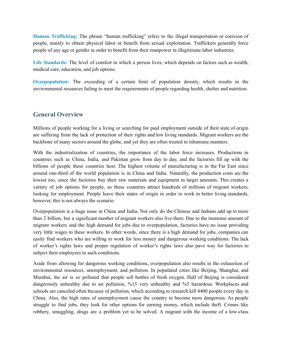**Human Trafficking:** The phrase "human trafficking" refers to the illegal transportation or coercion of people, mainly to obtain physical labor or benefit from sexual exploitation. Traffickers generally force people of any age or gender in order to benefit from their manpower in illegitimate labor industries.

**Life Standards:** The level of comfort in which a person lives, which depends on factors such as wealth, medical care, education, and job options.

**Overpopulation:** The exceeding of a certain limit of population density, which results in the environmental resources failing to meet the requirements of people regarding health, shelter and nutrition.

### **General Overview**

Millions of people working for a living or searching for paid employment outside of their state of origin are suffering from the lack of protection of their rights and low living standards. Migrant workers are the backbone of many sectors around the globe, and yet they are often treated in inhumane manners.

With the industrialization of countries, the importance of the labor force increases. Productions in countries such as China, India, and Pakistan grow from day to day, and the factories fill up with the billions of people these countries host. The highest volume of manufacturing is in the Far East since around one-third of the world population is in China and India. Naturally, the production costs are the lowest too, since the factories buy their raw materials and equipment in larger amounts. This creates a variety of job options for people, so these countries attract hundreds of millions of migrant workers, looking for employment. People leave their states of origin in order to work in better living standards, however, this is not always the scenario.

Overpopulation is a huge issue in China and India. Not only do the Chinese and Indians add up to more than 2 billion, but a significant number of migrant workers also live there. Due to the immense amount of migrant workers and the high demand for jobs due to overpopulation, factories have no issue providing very little wages to these workers. In other words, since there is a high demand for jobs, companies can easily find workers who are willing to work for less money and dangerous working conditions. The lack of worker's rights laws and proper regulation of worker's rights laws also pave way for factories to subject their employees to such conditions.

Aside from allowing for dangerous working conditions, overpopulation also results in the exhaustion of environmental resources, unemployment, and pollution. In populated cities like Beijing, Shanghai, and Mumbai, the air is so polluted that people sell bottles of fresh oxygen. Half of Beijing is considered dangerously unhealthy due to air pollution, %15 very unhealthy and %5 hazardous. Workplaces and schools are canceled often because of pollution, which according to research kill 4400 people every day in China. Also, the high rates of unemployment cause the country to become more dangerous. As people struggle to find jobs, they look for other options for earning money, which include theft. Crimes like robbery, smuggling, drugs are a problem yet to be solved. A migrant with the income of a low-class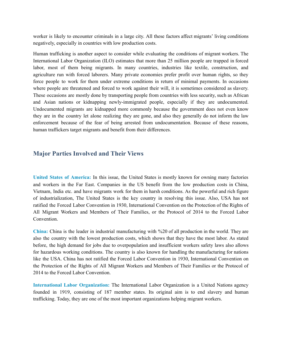worker is likely to encounter criminals in a large city. All these factors affect migrants' living conditions negatively, especially in countries with low production costs.

Human trafficking is another aspect to consider while evaluating the conditions of migrant workers. The International Labor Organization (ILO) estimates that more than 25 million people are trapped in forced labor, most of them being migrants. In many countries, industries like textile, construction, and agriculture run with forced laborers. Many private economies prefer profit over human rights, so they force people to work for them under extreme conditions in return of minimal payments. In occasions where people are threatened and forced to work against their will, it is sometimes considered as slavery. These occasions are mostly done by transporting people from countries with less security, such as African and Asian nations or kidnapping newly-immigrated people, especially if they are undocumented. Undocumented migrants are kidnapped more commonly because the government does not even know they are in the country let alone realizing they are gone, and also they generally do not inform the law enforcement because of the fear of being arrested from undocumentation. Because of these reasons, human traffickers target migrants and benefit from their differences.

#### **Major Parties Involved and Their Views**

**United States of America:** In this issue, the United States is mostly known for owning many factories and workers in the Far East. Companies in the US benefit from the low production costs in China, Vietnam, India etc. and have migrants work for them in harsh conditions. As the powerful and rich figure of industrialization, The United States is the key country in resolving this issue. Also, USA has not ratified the Forced Labor Convention in 1930, International Convention on the Protection of the Rights of All Migrant Workers and Members of Their Families, or the Protocol of 2014 to the Forced Labor Convention.

**China:** China is the leader in industrial manufacturing with %20 of all production in the world. They are also the country with the lowest production costs, which shows that they have the most labor. As stated before, the high demand for jobs due to overpopulation and insufficient workers safety laws also allows for hazardous working conditions. The country is also known for handling the manufacturing for nations like the USA. China has not ratified the Forced Labor Convention in 1930, International Convention on the Protection of the Rights of All Migrant Workers and Members of Their Families or the Protocol of 2014 to the Forced Labor Convention.

**International Labor Organization:** The International Labor Organization is a United Nations agency founded in 1919, consisting of 187 member states. Its original aim is to end slavery and human trafficking. Today, they are one of the most important organizations helping migrant workers.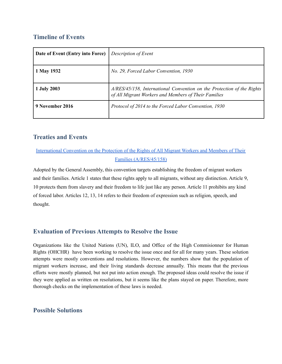# **Timeline of Events**

| Date of Event (Entry into Force) | Description of Event                                                                                                           |
|----------------------------------|--------------------------------------------------------------------------------------------------------------------------------|
| 1 May 1932                       | No. 29, Forced Labor Convention, 1930                                                                                          |
| 1 July 2003                      | A/RES/45/158, International Convention on the Protection of the Rights<br>of All Migrant Workers and Members of Their Families |
| 9 November 2016                  | Protocol of 2014 to the Forced Labor Convention, 1930                                                                          |

# **Treaties and Events**

# [International](https://www.ohchr.org/documents/publications/factsheet24rev.1en.pdf) Convention on the Protection of the Rights of All Migrant Workers and Members of Their Families [\(A/RES/45/158\)](https://www.ohchr.org/documents/publications/factsheet24rev.1en.pdf)

Adopted by the General Assembly, this convention targets establishing the freedom of migrant workers and their families. Article 1 states that these rights apply to all migrants, without any distinction. Article 9, 10 protects them from slavery and their freedom to life just like any person. Article 11 prohibits any kind of forced labor. Articles 12, 13, 14 refers to their freedom of expression such as religion, speech, and thought.

# **Evaluation of Previous Attempts to Resolve the Issue**

Organizations like the United Nations (UN), ILO, and Office of the High Commisionner for Human Rights (OHCHR) have been working to resolve the issue once and for all for many years. These solution attempts were mostly conventions and resolutions. However, the numbers show that the population of migrant workers increase, and their living standards decrease annually. This means that the previous efforts were mostly planned, but not put into action enough. The proposed ideas could resolve the issue if they were applied as written on resolutions, but it seems like the plans stayed on paper. Therefore, more thorough checks on the implementation of these laws is needed.

# **Possible Solutions**